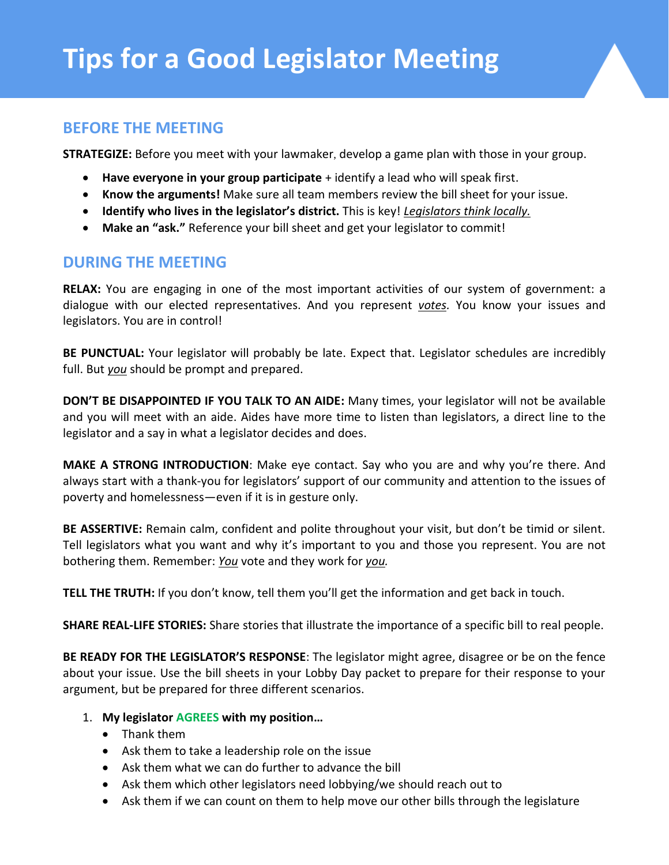## **BEFORE THE MEETING**

**STRATEGIZE:** Before you meet with your lawmaker, develop a game plan with those in your group.

- **Have everyone in your group participate** + identify a lead who will speak first.
- **Know the arguments!** Make sure all team members review the bill sheet for your issue.
- **Identify who lives in the legislator's district.** This is key! *Legislators think locally.*
- **Make an "ask."** Reference your bill sheet and get your legislator to commit!

# **DURING THE MEETING**

**RELAX:** You are engaging in one of the most important activities of our system of government: a dialogue with our elected representatives. And you represent *votes.* You know your issues and legislators. You are in control!

**BE PUNCTUAL:** Your legislator will probably be late. Expect that. Legislator schedules are incredibly full. But *you* should be prompt and prepared.

**DON'T BE DISAPPOINTED IF YOU TALK TO AN AIDE:** Many times, your legislator will not be available and you will meet with an aide. Aides have more time to listen than legislators, a direct line to the legislator and a say in what a legislator decides and does.

**MAKE A STRONG INTRODUCTION**: Make eye contact. Say who you are and why you're there. And always start with a thank-you for legislators' support of our community and attention to the issues of poverty and homelessness—even if it is in gesture only.

**BE ASSERTIVE:** Remain calm, confident and polite throughout your visit, but don't be timid or silent. Tell legislators what you want and why it's important to you and those you represent. You are not bothering them. Remember: *You* vote and they work for *you.*

**TELL THE TRUTH:** If you don't know, tell them you'll get the information and get back in touch.

**SHARE REAL-LIFE STORIES:** Share stories that illustrate the importance of a specific bill to real people.

**BE READY FOR THE LEGISLATOR'S RESPONSE**: The legislator might agree, disagree or be on the fence about your issue. Use the bill sheets in your Lobby Day packet to prepare for their response to your argument, but be prepared for three different scenarios.

- 1. **My legislator AGREES with my position…**
	- Thank them
	- Ask them to take a leadership role on the issue
	- Ask them what we can do further to advance the bill
	- Ask them which other legislators need lobbying/we should reach out to
	- Ask them if we can count on them to help move our other bills through the legislature